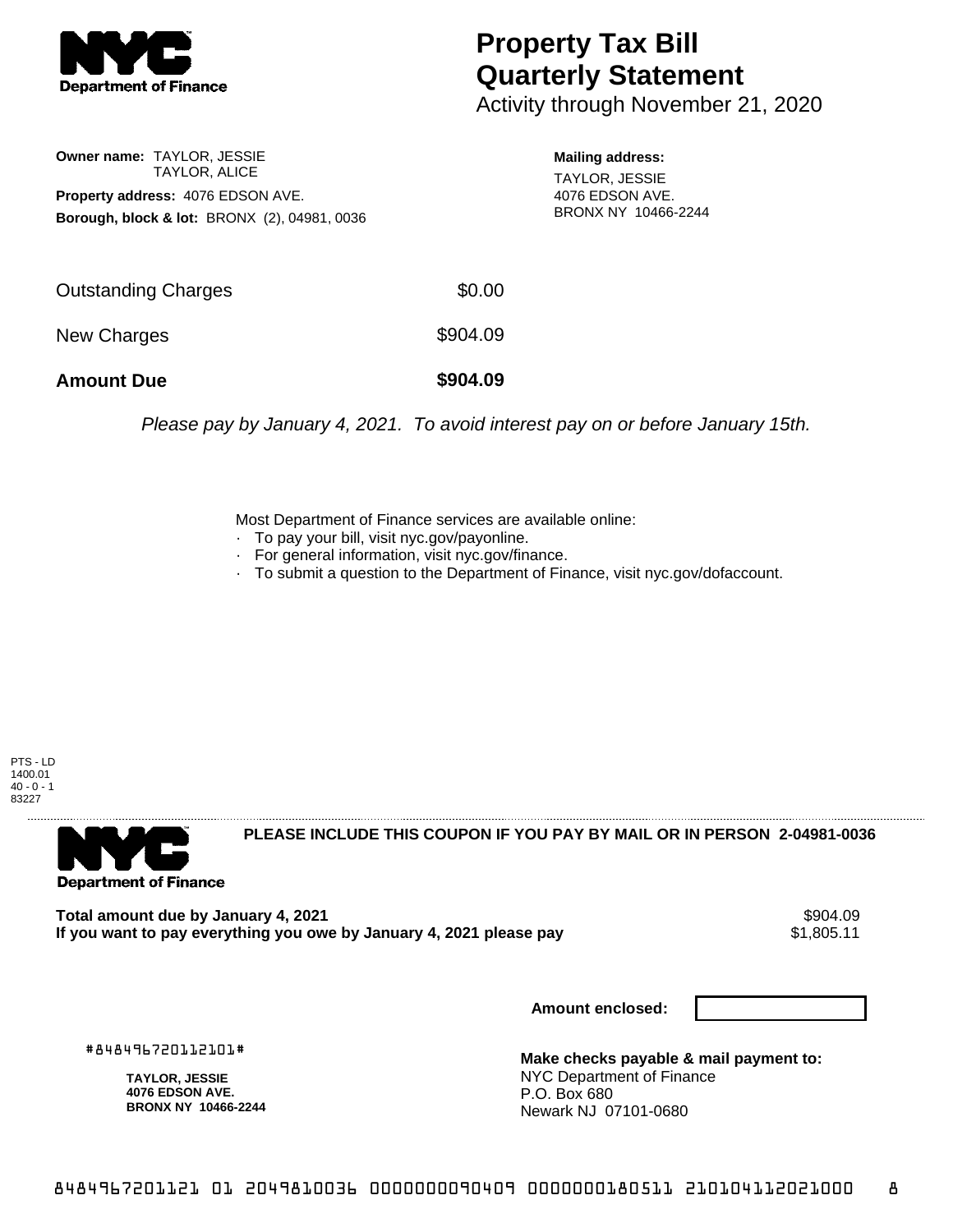

## **Property Tax Bill Quarterly Statement**

Activity through November 21, 2020

**Owner name:** TAYLOR, JESSIE TAYLOR, ALICE **Property address:** 4076 EDSON AVE. **Borough, block & lot:** BRONX (2), 04981, 0036

**Mailing address:**

TAYLOR, JESSIE 4076 EDSON AVE. BRONX NY 10466-2244

| <b>Outstanding Charges</b> | \$0.00   |
|----------------------------|----------|
| New Charges                | \$904.09 |
| <b>Amount Due</b>          | \$904.09 |

Please pay by January 4, 2021. To avoid interest pay on or before January 15th.

Most Department of Finance services are available online:

- · To pay your bill, visit nyc.gov/payonline.
- For general information, visit nyc.gov/finance.
- · To submit a question to the Department of Finance, visit nyc.gov/dofaccount.





**PLEASE INCLUDE THIS COUPON IF YOU PAY BY MAIL OR IN PERSON 2-04981-0036** 

Total amount due by January 4, 2021<br>If you want to pay everything you owe by January 4, 2021 please pay **ship want to pay everything you owe by Janu** If you want to pay everything you owe by January 4, 2021 please pay

**Amount enclosed:**

#848496720112101#

**TAYLOR, JESSIE 4076 EDSON AVE. BRONX NY 10466-2244**

**Make checks payable & mail payment to:** NYC Department of Finance P.O. Box 680 Newark NJ 07101-0680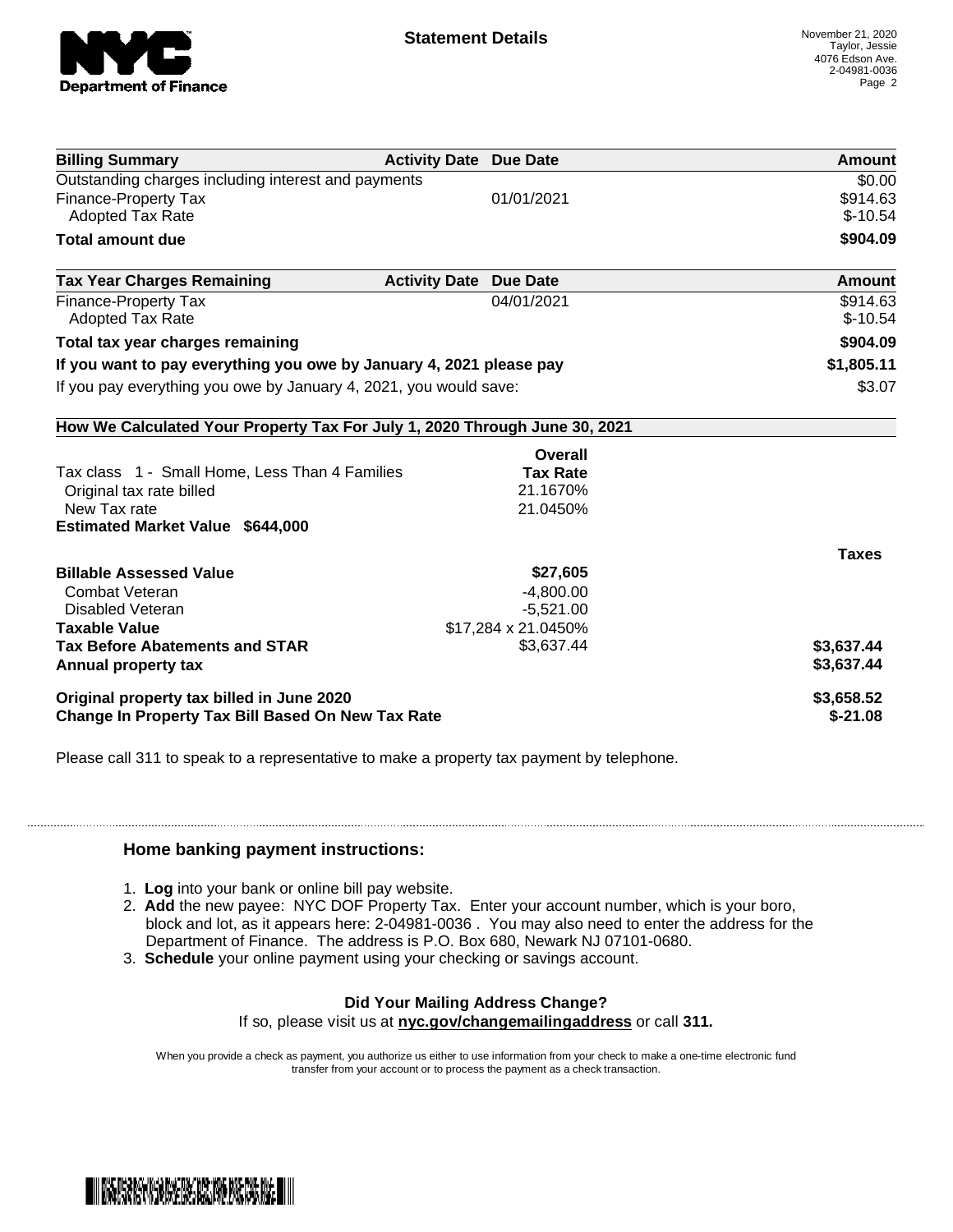

| <b>Billing Summary</b>                                                     | <b>Activity Date Due Date</b> |                     | Amount        |
|----------------------------------------------------------------------------|-------------------------------|---------------------|---------------|
| Outstanding charges including interest and payments                        |                               |                     | \$0.00        |
| <b>Finance-Property Tax</b>                                                |                               | 01/01/2021          | \$914.63      |
| <b>Adopted Tax Rate</b>                                                    |                               |                     | $$-10.54$     |
| <b>Total amount due</b>                                                    |                               |                     | \$904.09      |
| <b>Tax Year Charges Remaining</b>                                          | <b>Activity Date</b>          | <b>Due Date</b>     | <b>Amount</b> |
| <b>Finance-Property Tax</b>                                                |                               | 04/01/2021          | \$914.63      |
| <b>Adopted Tax Rate</b>                                                    |                               |                     | $$-10.54$     |
| Total tax year charges remaining                                           |                               |                     | \$904.09      |
| If you want to pay everything you owe by January 4, 2021 please pay        |                               | \$1,805.11          |               |
| If you pay everything you owe by January 4, 2021, you would save:          |                               |                     | \$3.07        |
| How We Calculated Your Property Tax For July 1, 2020 Through June 30, 2021 |                               |                     |               |
|                                                                            |                               | Overall             |               |
| Tax class 1 - Small Home, Less Than 4 Families                             |                               | <b>Tax Rate</b>     |               |
| Original tax rate billed                                                   |                               | 21.1670%            |               |
| New Tax rate                                                               |                               | 21.0450%            |               |
| <b>Estimated Market Value \$644,000</b>                                    |                               |                     |               |
|                                                                            |                               |                     | <b>Taxes</b>  |
| <b>Billable Assessed Value</b>                                             |                               | \$27,605            |               |
| Combat Veteran                                                             |                               | $-4,800.00$         |               |
| Disabled Veteran                                                           |                               | $-5,521.00$         |               |
| <b>Taxable Value</b>                                                       |                               | \$17,284 x 21.0450% |               |
| <b>Tax Before Abatements and STAR</b>                                      |                               | \$3,637.44          | \$3,637.44    |
| Annual property tax                                                        |                               |                     | \$3,637.44    |
| Original property tax billed in June 2020                                  |                               | \$3,658.52          |               |
| <b>Change In Property Tax Bill Based On New Tax Rate</b>                   |                               | $$-21.08$           |               |

Please call 311 to speak to a representative to make a property tax payment by telephone.

## **Home banking payment instructions:**

- 1. **Log** into your bank or online bill pay website.
- 2. **Add** the new payee: NYC DOF Property Tax. Enter your account number, which is your boro, block and lot, as it appears here: 2-04981-0036 . You may also need to enter the address for the Department of Finance. The address is P.O. Box 680, Newark NJ 07101-0680.
- 3. **Schedule** your online payment using your checking or savings account.

## **Did Your Mailing Address Change?**

If so, please visit us at **nyc.gov/changemailingaddress** or call **311.**

When you provide a check as payment, you authorize us either to use information from your check to make a one-time electronic fund transfer from your account or to process the payment as a check transaction.